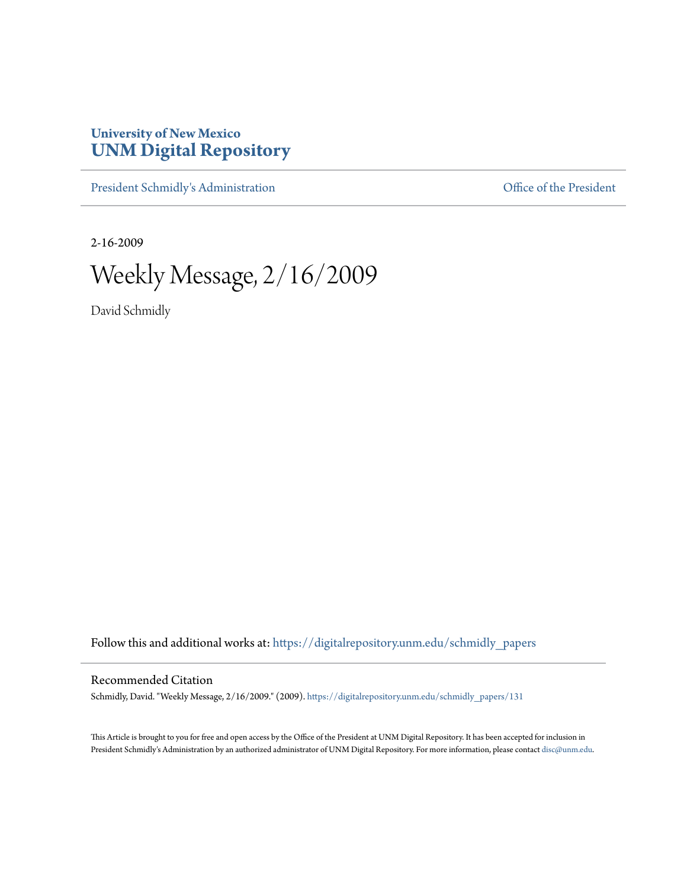## **University of New Mexico [UNM Digital Repository](https://digitalrepository.unm.edu?utm_source=digitalrepository.unm.edu%2Fschmidly_papers%2F131&utm_medium=PDF&utm_campaign=PDFCoverPages)**

[President Schmidly's Administration](https://digitalrepository.unm.edu/schmidly_papers?utm_source=digitalrepository.unm.edu%2Fschmidly_papers%2F131&utm_medium=PDF&utm_campaign=PDFCoverPages) [Office of the President](https://digitalrepository.unm.edu/ofc_president?utm_source=digitalrepository.unm.edu%2Fschmidly_papers%2F131&utm_medium=PDF&utm_campaign=PDFCoverPages)

2-16-2009

Weekly Message, 2/16/2009

David Schmidly

Follow this and additional works at: [https://digitalrepository.unm.edu/schmidly\\_papers](https://digitalrepository.unm.edu/schmidly_papers?utm_source=digitalrepository.unm.edu%2Fschmidly_papers%2F131&utm_medium=PDF&utm_campaign=PDFCoverPages)

## Recommended Citation

Schmidly, David. "Weekly Message, 2/16/2009." (2009). [https://digitalrepository.unm.edu/schmidly\\_papers/131](https://digitalrepository.unm.edu/schmidly_papers/131?utm_source=digitalrepository.unm.edu%2Fschmidly_papers%2F131&utm_medium=PDF&utm_campaign=PDFCoverPages)

This Article is brought to you for free and open access by the Office of the President at UNM Digital Repository. It has been accepted for inclusion in President Schmidly's Administration by an authorized administrator of UNM Digital Repository. For more information, please contact [disc@unm.edu](mailto:disc@unm.edu).